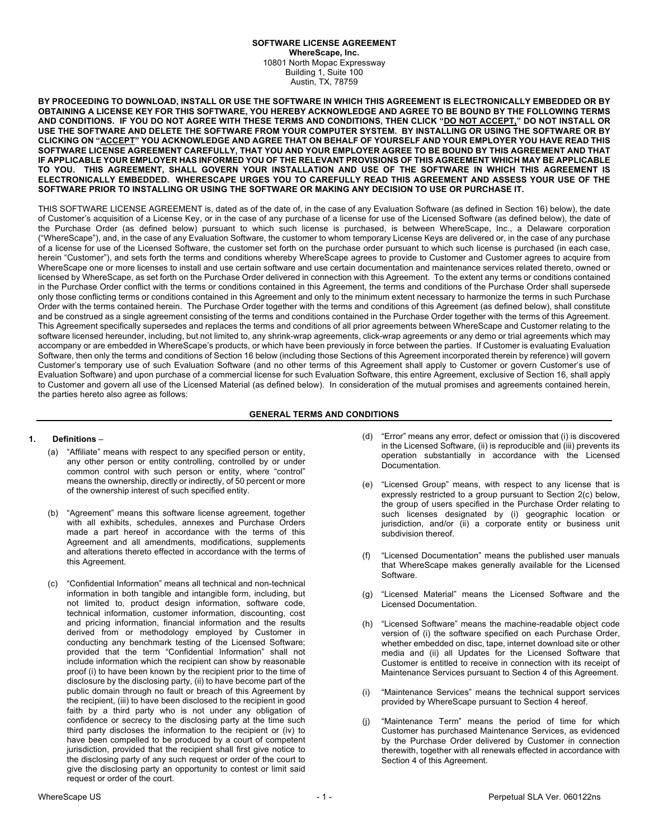#### **SOFTWARE LICENSE AGREEMENT WhereScape, Inc.** 10801 North Mopac Expressway Building 1, Suite 100 Austin, TX, 78759

**BY PROCEEDING TO DOWNLOAD, INSTALL OR USE THE SOFTWARE IN WHICH THIS AGREEMENT IS ELECTRONICALLY EMBEDDED OR BY OBTAINING A LICENSE KEY FOR THIS SOFTWARE, YOU HEREBY ACKNOWLEDGE AND AGREE TO BE BOUND BY THE FOLLOWING TERMS AND CONDITIONS. IF YOU DO NOT AGREE WITH THESE TERMS AND CONDITIONS, THEN CLICK "DO NOT ACCEPT," DO NOT INSTALL OR USE THE SOFTWARE AND DELETE THE SOFTWARE FROM YOUR COMPUTER SYSTEM. BY INSTALLING OR USING THE SOFTWARE OR BY CLICKING ON "ACCEPT" YOU ACKNOWLEDGE AND AGREE THAT ON BEHALF OF YOURSELF AND YOUR EMPLOYER YOU HAVE READ THIS SOFTWARE LICENSE AGREEMENT CAREFULLY, THAT YOU AND YOUR EMPLOYER AGREE TO BE BOUND BY THIS AGREEMENT AND THAT IF APPLICABLE YOUR EMPLOYER HAS INFORMED YOU OF THE RELEVANT PROVISIONS OF THIS AGREEMENT WHICH MAY BE APPLICABLE TO YOU. THIS AGREEMENT, SHALL GOVERN YOUR INSTALLATION AND USE OF THE SOFTWARE IN WHICH THIS AGREEMENT IS ELECTRONICALLY EMBEDDED. WHERESCAPE URGES YOU TO CAREFULLY READ THIS AGREEMENT AND ASSESS YOUR USE OF THE SOFTWARE PRIOR TO INSTALLING OR USING THE SOFTWARE OR MAKING ANY DECISION TO USE OR PURCHASE IT.**

THIS SOFTWARE LICENSE AGREEMENT is, dated as of the date of, in the case of any Evaluation Software (as defined in Section 16) below), the date of Customer's acquisition of a License Key, or in the case of any purchase of a license for use of the Licensed Software (as defined below), the date of the Purchase Order (as defined below) pursuant to which such license is purchased, is between WhereScape, Inc., a Delaware corporation ("WhereScape"), and, in the case of any Evaluation Software, the customer to whom temporary License Keys are delivered or, in the case of any purchase of a license for use of the Licensed Software, the customer set forth on the purchase order pursuant to which such license is purchased (in each case, herein "Customer"), and sets forth the terms and conditions whereby WhereScape agrees to provide to Customer and Customer agrees to acquire from WhereScape one or more licenses to install and use certain software and use certain documentation and maintenance services related thereto, owned or licensed by WhereScape, as set forth on the Purchase Order delivered in connection with this Agreement. To the extent any terms or conditions contained in the Purchase Order conflict with the terms or conditions contained in this Agreement, the terms and conditions of the Purchase Order shall supersede only those conflicting terms or conditions contained in this Agreement and only to the minimum extent necessary to harmonize the terms in such Purchase Order with the terms contained herein. The Purchase Order together with the terms and conditions of this Agreement (as defined below), shall constitute and be construed as a single agreement consisting of the terms and conditions contained in the Purchase Order together with the terms of this Agreement. This Agreement specifically supersedes and replaces the terms and conditions of all prior agreements between WhereScape and Customer relating to the software licensed hereunder, including, but not limited to, any shrink-wrap agreements, click-wrap agreements or any demo or trial agreements which may accompany or are embedded in WhereScape's products, or which have been previously in force between the parties. If Customer is evaluating Evaluation Software, then only the terms and conditions of Section 16 below (including those Sections of this Agreement incorporated therein by reference) will govern Customer's temporary use of such Evaluation Software (and no other terms of this Agreement shall apply to Customer or govern Customer's use of Evaluation Software) and upon purchase of a commercial license for such Evaluation Software, this entire Agreement, exclusive of Section 16, shall apply to Customer and govern all use of the Licensed Material (as defined below). In consideration of the mutual promises and agreements contained herein, the parties hereto also agree as follows:

### **GENERAL TERMS AND CONDITIONS**

### **1. Definitions** –

- (a) "Affiliate" means with respect to any specified person or entity, any other person or entity controlling, controlled by or under common control with such person or entity, where "control" means the ownership, directly or indirectly, of 50 percent or more of the ownership interest of such specified entity.
- (b) "Agreement" means this software license agreement, together with all exhibits, schedules, annexes and Purchase Orders made a part hereof in accordance with the terms of this Agreement and all amendments, modifications, supplements and alterations thereto effected in accordance with the terms of this Agreement.
- (c) "Confidential Information" means all technical and non-technical information in both tangible and intangible form, including, but not limited to, product design information, software code, technical information, customer information, discounting, cost and pricing information, financial information and the results derived from or methodology employed by Customer in conducting any benchmark testing of the Licensed Software; provided that the term "Confidential Information" shall not include information which the recipient can show by reasonable proof (i) to have been known by the recipient prior to the time of disclosure by the disclosing party, (ii) to have become part of the public domain through no fault or breach of this Agreement by the recipient, (iii) to have been disclosed to the recipient in good faith by a third party who is not under any obligation of confidence or secrecy to the disclosing party at the time such third party discloses the information to the recipient or (iv) to have been compelled to be produced by a court of competent jurisdiction, provided that the recipient shall first give notice to the disclosing party of any such request or order of the court to give the disclosing party an opportunity to contest or limit said request or order of the court.
- (d) "Error" means any error, defect or omission that (i) is discovered in the Licensed Software, (ii) is reproducible and (iii) prevents its operation substantially in accordance with the Licensed Documentation.
- (e) "Licensed Group" means, with respect to any license that is expressly restricted to a group pursuant to Section 2(c) below, the group of users specified in the Purchase Order relating to such licenses designated by (i) geographic location or jurisdiction, and/or (ii) a corporate entity or business unit subdivision thereof.
- (f) "Licensed Documentation" means the published user manuals that WhereScape makes generally available for the Licensed Software.
- (g) "Licensed Material" means the Licensed Software and the Licensed Documentation.
- (h) "Licensed Software" means the machine-readable object code version of (i) the software specified on each Purchase Order, whether embedded on disc, tape, internet download site or other media and (ii) all Updates for the Licensed Software that Customer is entitled to receive in connection with its receipt of Maintenance Services pursuant to Section 4 of this Agreement.
- (i) "Maintenance Services" means the technical support services provided by WhereScape pursuant to Section 4 hereof.
- "Maintenance Term" means the period of time for which Customer has purchased Maintenance Services, as evidenced by the Purchase Order delivered by Customer in connection therewith, together with all renewals effected in accordance with Section 4 of this Agreement.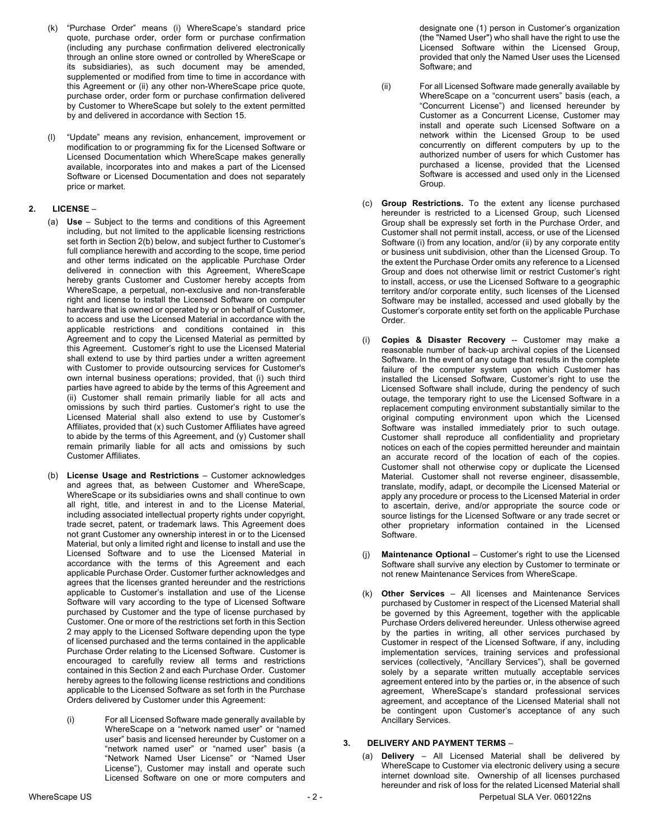- (k) "Purchase Order" means (i) WhereScape's standard price quote, purchase order, order form or purchase confirmation (including any purchase confirmation delivered electronically through an online store owned or controlled by WhereScape or its subsidiaries), as such document may be amended, supplemented or modified from time to time in accordance with this Agreement or (ii) any other non-WhereScape price quote, purchase order, order form or purchase confirmation delivered by Customer to WhereScape but solely to the extent permitted by and delivered in accordance with Section 15.
- (l) "Update" means any revision, enhancement, improvement or modification to or programming fix for the Licensed Software or Licensed Documentation which WhereScape makes generally available, incorporates into and makes a part of the Licensed Software or Licensed Documentation and does not separately price or market.

# **2. LICENSE** –

- (a) **Use** Subject to the terms and conditions of this Agreement including, but not limited to the applicable licensing restrictions set forth in Section 2(b) below, and subject further to Customer's full compliance herewith and according to the scope, time period and other terms indicated on the applicable Purchase Order delivered in connection with this Agreement, WhereScape hereby grants Customer and Customer hereby accepts from WhereScape, a perpetual, non-exclusive and non-transferable right and license to install the Licensed Software on computer hardware that is owned or operated by or on behalf of Customer, to access and use the Licensed Material in accordance with the applicable restrictions and conditions contained in this Agreement and to copy the Licensed Material as permitted by this Agreement. Customer's right to use the Licensed Material shall extend to use by third parties under a written agreement with Customer to provide outsourcing services for Customer's own internal business operations; provided, that (i) such third parties have agreed to abide by the terms of this Agreement and (ii) Customer shall remain primarily liable for all acts and omissions by such third parties. Customer's right to use the Licensed Material shall also extend to use by Customer's Affiliates, provided that (x) such Customer Affiliates have agreed to abide by the terms of this Agreement, and (y) Customer shall remain primarily liable for all acts and omissions by such Customer Affiliates.
- (b) **License Usage and Restrictions** Customer acknowledges and agrees that, as between Customer and WhereScape, WhereScape or its subsidiaries owns and shall continue to own all right, title, and interest in and to the License Material, including associated intellectual property rights under copyright, trade secret, patent, or trademark laws. This Agreement does not grant Customer any ownership interest in or to the Licensed Material, but only a limited right and license to install and use the Licensed Software and to use the Licensed Material in accordance with the terms of this Agreement and each applicable Purchase Order. Customer further acknowledges and agrees that the licenses granted hereunder and the restrictions applicable to Customer's installation and use of the License Software will vary according to the type of Licensed Software purchased by Customer and the type of license purchased by Customer. One or more of the restrictions set forth in this Section 2 may apply to the Licensed Software depending upon the type of licensed purchased and the terms contained in the applicable Purchase Order relating to the Licensed Software. Customer is encouraged to carefully review all terms and restrictions contained in this Section 2 and each Purchase Order. Customer hereby agrees to the following license restrictions and conditions applicable to the Licensed Software as set forth in the Purchase Orders delivered by Customer under this Agreement:
	- (i) For all Licensed Software made generally available by WhereScape on a "network named user" or "named user" basis and licensed hereunder by Customer on a "network named user" or "named user" basis (a "Network Named User License" or "Named User License"), Customer may install and operate such Licensed Software on one or more computers and

designate one (1) person in Customer's organization (the "Named User") who shall have the right to use the Licensed Software within the Licensed Group, provided that only the Named User uses the Licensed Software; and

- (ii) For all Licensed Software made generally available by WhereScape on a "concurrent users" basis (each, a "Concurrent License") and licensed hereunder by Customer as a Concurrent License, Customer may install and operate such Licensed Software on a network within the Licensed Group to be used concurrently on different computers by up to the authorized number of users for which Customer has purchased a license, provided that the Licensed Software is accessed and used only in the Licensed Group.
- (c) **Group Restrictions.** To the extent any license purchased hereunder is restricted to a Licensed Group, such Licensed Group shall be expressly set forth in the Purchase Order, and Customer shall not permit install, access, or use of the Licensed Software (i) from any location, and/or (ii) by any corporate entity or business unit subdivision, other than the Licensed Group. To the extent the Purchase Order omits any reference to a Licensed Group and does not otherwise limit or restrict Customer's right to install, access, or use the Licensed Software to a geographic territory and/or corporate entity, such licenses of the Licensed Software may be installed, accessed and used globally by the Customer's corporate entity set forth on the applicable Purchase Order.
- (i) **Copies & Disaster Recovery** -- Customer may make a reasonable number of back-up archival copies of the Licensed Software. In the event of any outage that results in the complete failure of the computer system upon which Customer has installed the Licensed Software, Customer's right to use the Licensed Software shall include, during the pendency of such outage, the temporary right to use the Licensed Software in a replacement computing environment substantially similar to the original computing environment upon which the Licensed Software was installed immediately prior to such outage. Customer shall reproduce all confidentiality and proprietary notices on each of the copies permitted hereunder and maintain an accurate record of the location of each of the copies. Customer shall not otherwise copy or duplicate the Licensed Material. Customer shall not reverse engineer, disassemble, translate, modify, adapt, or decompile the Licensed Material or apply any procedure or process to the Licensed Material in order to ascertain, derive, and/or appropriate the source code or source listings for the Licensed Software or any trade secret or other proprietary information contained in the Licensed Software.
- Maintenance Optional Customer's right to use the Licensed Software shall survive any election by Customer to terminate or not renew Maintenance Services from WhereScape.
- (k) **Other Services**  All licenses and Maintenance Services purchased by Customer in respect of the Licensed Material shall be governed by this Agreement, together with the applicable Purchase Orders delivered hereunder. Unless otherwise agreed by the parties in writing, all other services purchased by Customer in respect of the Licensed Software, if any, including implementation services, training services and professional services (collectively, "Ancillary Services"), shall be governed solely by a separate written mutually acceptable services agreement entered into by the parties or, in the absence of such agreement, WhereScape's standard professional services agreement, and acceptance of the Licensed Material shall not be contingent upon Customer's acceptance of any such Ancillary Services.

### **3. DELIVERY AND PAYMENT TERMS** –

(a) **Delivery** – All Licensed Material shall be delivered by WhereScape to Customer via electronic delivery using a secure internet download site. Ownership of all licenses purchased hereunder and risk of loss for the related Licensed Material shall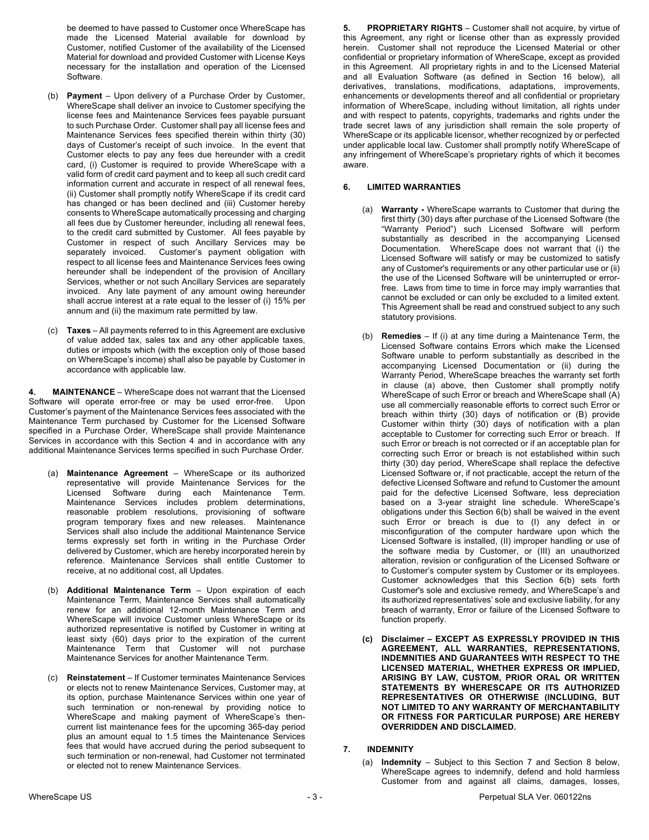be deemed to have passed to Customer once WhereScape has made the Licensed Material available for download by Customer, notified Customer of the availability of the Licensed Material for download and provided Customer with License Keys necessary for the installation and operation of the Licensed Software.

- (b) **Payment** Upon delivery of a Purchase Order by Customer, WhereScape shall deliver an invoice to Customer specifying the license fees and Maintenance Services fees payable pursuant to such Purchase Order. Customer shall pay all license fees and Maintenance Services fees specified therein within thirty (30) days of Customer's receipt of such invoice. In the event that Customer elects to pay any fees due hereunder with a credit card, (i) Customer is required to provide WhereScape with a valid form of credit card payment and to keep all such credit card information current and accurate in respect of all renewal fees, (ii) Customer shall promptly notify WhereScape if its credit card has changed or has been declined and (iii) Customer hereby consents to WhereScape automatically processing and charging all fees due by Customer hereunder, including all renewal fees, to the credit card submitted by Customer. All fees payable by Customer in respect of such Ancillary Services may be separately invoiced. Customer's payment obligation with respect to all license fees and Maintenance Services fees owing hereunder shall be independent of the provision of Ancillary Services, whether or not such Ancillary Services are separately invoiced. Any late payment of any amount owing hereunder shall accrue interest at a rate equal to the lesser of (i) 15% per annum and (ii) the maximum rate permitted by law.
- (c) **Taxes** All payments referred to in this Agreement are exclusive of value added tax, sales tax and any other applicable taxes, duties or imposts which (with the exception only of those based on WhereScape's income) shall also be payable by Customer in accordance with applicable law.

**4. MAINTENANCE** – WhereScape does not warrant that the Licensed Software will operate error-free or may be used error-free. Upon Customer's payment of the Maintenance Services fees associated with the Maintenance Term purchased by Customer for the Licensed Software specified in a Purchase Order, WhereScape shall provide Maintenance Services in accordance with this Section 4 and in accordance with any additional Maintenance Services terms specified in such Purchase Order.

- (a) **Maintenance Agreement** WhereScape or its authorized representative will provide Maintenance Services for the Licensed Software during each Maintenance Term. Maintenance Services includes problem determinations, reasonable problem resolutions, provisioning of software program temporary fixes and new releases. Maintenance Services shall also include the additional Maintenance Service terms expressly set forth in writing in the Purchase Order delivered by Customer, which are hereby incorporated herein by reference. Maintenance Services shall entitle Customer to receive, at no additional cost, all Updates.
- (b) **Additional Maintenance Term** Upon expiration of each Maintenance Term, Maintenance Services shall automatically renew for an additional 12-month Maintenance Term and WhereScape will invoice Customer unless WhereScape or its authorized representative is notified by Customer in writing at least sixty (60) days prior to the expiration of the current Maintenance Term that Customer will not purchase Maintenance Services for another Maintenance Term.
- (c) **Reinstatement** If Customer terminates Maintenance Services or elects not to renew Maintenance Services, Customer may, at its option, purchase Maintenance Services within one year of such termination or non-renewal by providing notice to WhereScape and making payment of WhereScape's thencurrent list maintenance fees for the upcoming 365-day period plus an amount equal to 1.5 times the Maintenance Services fees that would have accrued during the period subsequent to such termination or non-renewal, had Customer not terminated or elected not to renew Maintenance Services.

**5. PROPRIETARY RIGHTS** – Customer shall not acquire, by virtue of this Agreement, any right or license other than as expressly provided herein. Customer shall not reproduce the Licensed Material or other confidential or proprietary information of WhereScape, except as provided in this Agreement. All proprietary rights in and to the Licensed Material and all Evaluation Software (as defined in Section 16 below), all derivatives, translations, modifications, adaptations, improvements, enhancements or developments thereof and all confidential or proprietary information of WhereScape, including without limitation, all rights under and with respect to patents, copyrights, trademarks and rights under the trade secret laws of any jurisdiction shall remain the sole property of WhereScape or its applicable licensor, whether recognized by or perfected under applicable local law. Customer shall promptly notify WhereScape of any infringement of WhereScape's proprietary rights of which it becomes aware.

## **6. LIMITED WARRANTIES**

- (a) **Warranty -** WhereScape warrants to Customer that during the first thirty (30) days after purchase of the Licensed Software (the "Warranty Period") such Licensed Software will perform substantially as described in the accompanying Licensed Documentation. WhereScape does not warrant that (i) the Licensed Software will satisfy or may be customized to satisfy any of Customer's requirements or any other particular use or (ii) the use of the Licensed Software will be uninterrupted or errorfree. Laws from time to time in force may imply warranties that cannot be excluded or can only be excluded to a limited extent. This Agreement shall be read and construed subject to any such statutory provisions.
- (b) **Remedies**  If (i) at any time during a Maintenance Term, the Licensed Software contains Errors which make the Licensed Software unable to perform substantially as described in the accompanying Licensed Documentation or (ii) during the Warranty Period, WhereScape breaches the warranty set forth in clause (a) above, then Customer shall promptly notify WhereScape of such Error or breach and WhereScape shall (A) use all commercially reasonable efforts to correct such Error or breach within thirty (30) days of notification or (B) provide Customer within thirty (30) days of notification with a plan acceptable to Customer for correcting such Error or breach. If such Error or breach is not corrected or if an acceptable plan for correcting such Error or breach is not established within such thirty (30) day period, WhereScape shall replace the defective Licensed Software or, if not practicable, accept the return of the defective Licensed Software and refund to Customer the amount paid for the defective Licensed Software, less depreciation based on a 3-year straight line schedule. WhereScape's obligations under this Section 6(b) shall be waived in the event such Error or breach is due to (I) any defect in or misconfiguration of the computer hardware upon which the Licensed Software is installed, (II) improper handling or use of the software media by Customer, or (III) an unauthorized alteration, revision or configuration of the Licensed Software or to Customer's computer system by Customer or its employees. Customer acknowledges that this Section 6(b) sets forth Customer's sole and exclusive remedy, and WhereScape's and its authorized representatives' sole and exclusive liability, for any breach of warranty, Error or failure of the Licensed Software to function properly.
- **(c) Disclaimer – EXCEPT AS EXPRESSLY PROVIDED IN THIS AGREEMENT, ALL WARRANTIES, REPRESENTATIONS, INDEMNITIES AND GUARANTEES WITH RESPECT TO THE LICENSED MATERIAL, WHETHER EXPRESS OR IMPLIED, ARISING BY LAW, CUSTOM, PRIOR ORAL OR WRITTEN STATEMENTS BY WHERESCAPE OR ITS AUTHORIZED REPRESENTATIVES OR OTHERWISE (INCLUDING, BUT NOT LIMITED TO ANY WARRANTY OF MERCHANTABILITY OR FITNESS FOR PARTICULAR PURPOSE) ARE HEREBY OVERRIDDEN AND DISCLAIMED.**

### **7. INDEMNITY**

(a) **Indemnity** – Subject to this Section 7 and Section 8 below, WhereScape agrees to indemnify, defend and hold harmless Customer from and against all claims, damages, losses,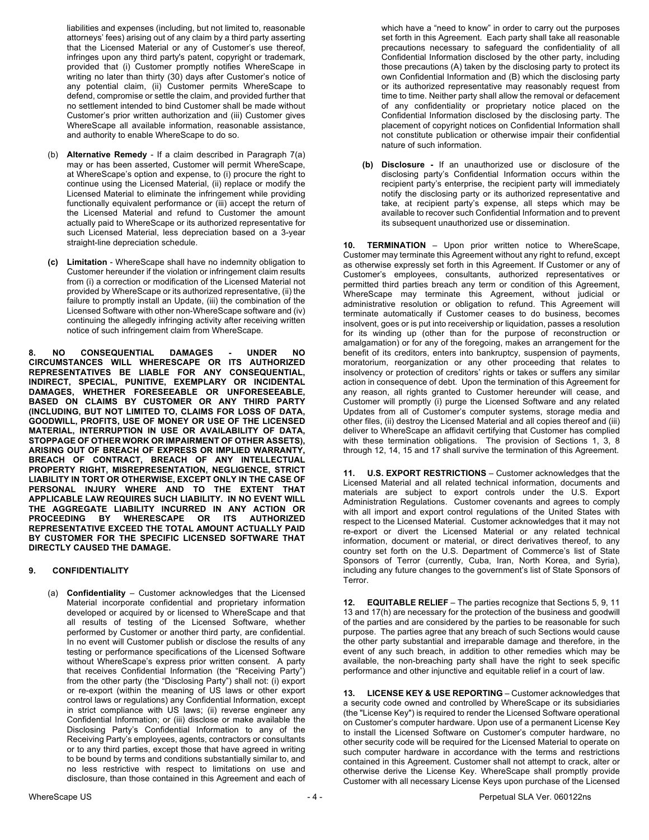liabilities and expenses (including, but not limited to, reasonable attorneys' fees) arising out of any claim by a third party asserting that the Licensed Material or any of Customer's use thereof, infringes upon any third party's patent, copyright or trademark, provided that (i) Customer promptly notifies WhereScape in writing no later than thirty (30) days after Customer's notice of any potential claim, (ii) Customer permits WhereScape to defend, compromise or settle the claim, and provided further that no settlement intended to bind Customer shall be made without Customer's prior written authorization and (iii) Customer gives WhereScape all available information, reasonable assistance, and authority to enable WhereScape to do so.

- (b) **Alternative Remedy** If a claim described in Paragraph 7(a) may or has been asserted, Customer will permit WhereScape, at WhereScape's option and expense, to (i) procure the right to continue using the Licensed Material, (ii) replace or modify the Licensed Material to eliminate the infringement while providing functionally equivalent performance or (iii) accept the return of the Licensed Material and refund to Customer the amount actually paid to WhereScape or its authorized representative for such Licensed Material, less depreciation based on a 3-year straight-line depreciation schedule.
- **(c) Limitation** WhereScape shall have no indemnity obligation to Customer hereunder if the violation or infringement claim results from (i) a correction or modification of the Licensed Material not provided by WhereScape or its authorized representative, (ii) the failure to promptly install an Update, (iii) the combination of the Licensed Software with other non-WhereScape software and (iv) continuing the allegedly infringing activity after receiving written notice of such infringement claim from WhereScape.

**8. NO CONSEQUENTIAL DAMAGES - UNDER NO CIRCUMSTANCES WILL WHERESCAPE OR ITS AUTHORIZED REPRESENTATIVES BE LIABLE FOR ANY CONSEQUENTIAL, INDIRECT, SPECIAL, PUNITIVE, EXEMPLARY OR INCIDENTAL DAMAGES, WHETHER FORESEEABLE OR UNFORESEEABLE, BASED ON CLAIMS BY CUSTOMER OR ANY THIRD PARTY (INCLUDING, BUT NOT LIMITED TO, CLAIMS FOR LOSS OF DATA, GOODWILL, PROFITS, USE OF MONEY OR USE OF THE LICENSED MATERIAL, INTERRUPTION IN USE OR AVAILABILITY OF DATA, STOPPAGE OF OTHER WORK OR IMPAIRMENT OF OTHER ASSETS), ARISING OUT OF BREACH OF EXPRESS OR IMPLIED WARRANTY, BREACH OF CONTRACT, BREACH OF ANY INTELLECTUAL PROPERTY RIGHT, MISREPRESENTATION, NEGLIGENCE, STRICT LIABILITY IN TORT OR OTHERWISE, EXCEPT ONLY IN THE CASE OF PERSONAL INJURY WHERE AND TO THE EXTENT THAT APPLICABLE LAW REQUIRES SUCH LIABILITY. IN NO EVENT WILL THE AGGREGATE LIABILITY INCURRED IN ANY ACTION OR PROCEEDING BY WHERESCAPE OR ITS AUTHORIZED REPRESENTATIVE EXCEED THE TOTAL AMOUNT ACTUALLY PAID BY CUSTOMER FOR THE SPECIFIC LICENSED SOFTWARE THAT DIRECTLY CAUSED THE DAMAGE.**

# **9. CONFIDENTIALITY**

(a) **Confidentiality** – Customer acknowledges that the Licensed Material incorporate confidential and proprietary information developed or acquired by or licensed to WhereScape and that all results of testing of the Licensed Software, whether performed by Customer or another third party, are confidential. In no event will Customer publish or disclose the results of any testing or performance specifications of the Licensed Software without WhereScape's express prior written consent. A party that receives Confidential Information (the "Receiving Party") from the other party (the "Disclosing Party") shall not: (i) export or re-export (within the meaning of US laws or other export control laws or regulations) any Confidential Information, except in strict compliance with US laws; (ii) reverse engineer any Confidential Information; or (iii) disclose or make available the Disclosing Party's Confidential Information to any of the Receiving Party's employees, agents, contractors or consultants or to any third parties, except those that have agreed in writing to be bound by terms and conditions substantially similar to, and no less restrictive with respect to limitations on use and disclosure, than those contained in this Agreement and each of which have a "need to know" in order to carry out the purposes set forth in this Agreement. Each party shall take all reasonable precautions necessary to safeguard the confidentiality of all Confidential Information disclosed by the other party, including those precautions (A) taken by the disclosing party to protect its own Confidential Information and (B) which the disclosing party or its authorized representative may reasonably request from time to time. Neither party shall allow the removal or defacement of any confidentiality or proprietary notice placed on the Confidential Information disclosed by the disclosing party. The placement of copyright notices on Confidential Information shall not constitute publication or otherwise impair their confidential nature of such information.

**(b) Disclosure -** If an unauthorized use or disclosure of the disclosing party's Confidential Information occurs within the recipient party's enterprise, the recipient party will immediately notify the disclosing party or its authorized representative and take, at recipient party's expense, all steps which may be available to recover such Confidential Information and to prevent its subsequent unauthorized use or dissemination.

**10. TERMINATION** – Upon prior written notice to WhereScape, Customer may terminate this Agreement without any right to refund, except as otherwise expressly set forth in this Agreement. If Customer or any of Customer's employees, consultants, authorized representatives or permitted third parties breach any term or condition of this Agreement, WhereScape may terminate this Agreement, without judicial or administrative resolution or obligation to refund. This Agreement will terminate automatically if Customer ceases to do business, becomes insolvent, goes or is put into receivership or liquidation, passes a resolution for its winding up (other than for the purpose of reconstruction or amalgamation) or for any of the foregoing, makes an arrangement for the benefit of its creditors, enters into bankruptcy, suspension of payments, moratorium, reorganization or any other proceeding that relates to insolvency or protection of creditors' rights or takes or suffers any similar action in consequence of debt. Upon the termination of this Agreement for any reason, all rights granted to Customer hereunder will cease, and Customer will promptly (i) purge the Licensed Software and any related Updates from all of Customer's computer systems, storage media and other files, (ii) destroy the Licensed Material and all copies thereof and (iii) deliver to WhereScape an affidavit certifying that Customer has complied with these termination obligations. The provision of Sections 1, 3, 8 through 12, 14, 15 and 17 shall survive the termination of this Agreement.

**11. U.S. EXPORT RESTRICTIONS** – Customer acknowledges that the Licensed Material and all related technical information, documents and materials are subject to export controls under the U.S. Export Administration Regulations. Customer covenants and agrees to comply with all import and export control regulations of the United States with respect to the Licensed Material. Customer acknowledges that it may not re-export or divert the Licensed Material or any related technical information, document or material, or direct derivatives thereof, to any country set forth on the U.S. Department of Commerce's list of State Sponsors of Terror (currently, Cuba, Iran, North Korea, and Syria), including any future changes to the government's list of State Sponsors of Terror.

**12. EQUITABLE RELIEF** – The parties recognize that Sections 5, 9, 11 13 and 17(h) are necessary for the protection of the business and goodwill of the parties and are considered by the parties to be reasonable for such purpose. The parties agree that any breach of such Sections would cause the other party substantial and irreparable damage and therefore, in the event of any such breach, in addition to other remedies which may be available, the non-breaching party shall have the right to seek specific performance and other injunctive and equitable relief in a court of law.

**13. LICENSE KEY & USE REPORTING** – Customer acknowledges that a security code owned and controlled by WhereScape or its subsidiaries (the "License Key") is required to render the Licensed Software operational on Customer's computer hardware. Upon use of a permanent License Key to install the Licensed Software on Customer's computer hardware, no other security code will be required for the Licensed Material to operate on such computer hardware in accordance with the terms and restrictions contained in this Agreement. Customer shall not attempt to crack, alter or otherwise derive the License Key. WhereScape shall promptly provide Customer with all necessary License Keys upon purchase of the Licensed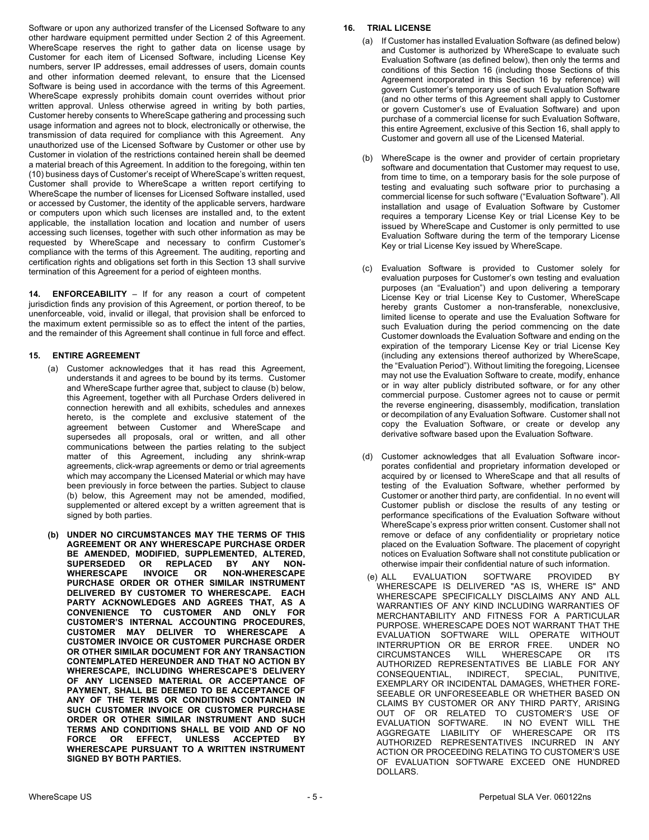Software or upon any authorized transfer of the Licensed Software to any other hardware equipment permitted under Section 2 of this Agreement. WhereScape reserves the right to gather data on license usage by Customer for each item of Licensed Software, including License Key numbers, server IP addresses, email addresses of users, domain counts and other information deemed relevant, to ensure that the Licensed Software is being used in accordance with the terms of this Agreement. WhereScape expressly prohibits domain count overrides without prior written approval. Unless otherwise agreed in writing by both parties, Customer hereby consents to WhereScape gathering and processing such usage information and agrees not to block, electronically or otherwise, the transmission of data required for compliance with this Agreement. Any unauthorized use of the Licensed Software by Customer or other use by Customer in violation of the restrictions contained herein shall be deemed a material breach of this Agreement. In addition to the foregoing, within ten (10) business days of Customer's receipt of WhereScape's written request, Customer shall provide to WhereScape a written report certifying to WhereScape the number of licenses for Licensed Software installed, used or accessed by Customer, the identity of the applicable servers, hardware or computers upon which such licenses are installed and, to the extent applicable, the installation location and location and number of users accessing such licenses, together with such other information as may be requested by WhereScape and necessary to confirm Customer's compliance with the terms of this Agreement. The auditing, reporting and certification rights and obligations set forth in this Section 13 shall survive termination of this Agreement for a period of eighteen months.

**14. ENFORCEABILITY** – If for any reason a court of competent jurisdiction finds any provision of this Agreement, or portion thereof, to be unenforceable, void, invalid or illegal, that provision shall be enforced to the maximum extent permissible so as to effect the intent of the parties, and the remainder of this Agreement shall continue in full force and effect.

# **15. ENTIRE AGREEMENT**

- (a) Customer acknowledges that it has read this Agreement, understands it and agrees to be bound by its terms. Customer and WhereScape further agree that, subject to clause (b) below, this Agreement, together with all Purchase Orders delivered in connection herewith and all exhibits, schedules and annexes hereto, is the complete and exclusive statement of the agreement between Customer and WhereScape and supersedes all proposals, oral or written, and all other communications between the parties relating to the subject matter of this Agreement, including any shrink-wrap agreements, click-wrap agreements or demo or trial agreements which may accompany the Licensed Material or which may have been previously in force between the parties. Subject to clause (b) below, this Agreement may not be amended, modified, supplemented or altered except by a written agreement that is signed by both parties.
- **(b) UNDER NO CIRCUMSTANCES MAY THE TERMS OF THIS AGREEMENT OR ANY WHERESCAPE PURCHASE ORDER BE AMENDED, MODIFIED, SUPPLEMENTED, ALTERED, SUPERSEDED OR REPLACED BY ANY NON-WHERESCAPE INVOICE OR NON-WHERESCAPE PURCHASE ORDER OR OTHER SIMILAR INSTRUMENT DELIVERED BY CUSTOMER TO WHERESCAPE. EACH PARTY ACKNOWLEDGES AND AGREES THAT, AS A CONVENIENCE TO CUSTOMER AND ONLY FOR CUSTOMER'S INTERNAL ACCOUNTING PROCEDURES, CUSTOMER MAY DELIVER TO WHERESCAPE A CUSTOMER INVOICE OR CUSTOMER PURCHASE ORDER OR OTHER SIMILAR DOCUMENT FOR ANY TRANSACTION CONTEMPLATED HEREUNDER AND THAT NO ACTION BY WHERESCAPE, INCLUDING WHERESCAPE'S DELIVERY OF ANY LICENSED MATERIAL OR ACCEPTANCE OF PAYMENT, SHALL BE DEEMED TO BE ACCEPTANCE OF ANY OF THE TERMS OR CONDITIONS CONTAINED IN SUCH CUSTOMER INVOICE OR CUSTOMER PURCHASE ORDER OR OTHER SIMILAR INSTRUMENT AND SUCH TERMS AND CONDITIONS SHALL BE VOID AND OF NO FORCE OR EFFECT, UNLESS ACCEPTED BY WHERESCAPE PURSUANT TO A WRITTEN INSTRUMENT SIGNED BY BOTH PARTIES.**

### **16. TRIAL LICENSE**

- (a) If Customer has installed Evaluation Software (as defined below) and Customer is authorized by WhereScape to evaluate such Evaluation Software (as defined below), then only the terms and conditions of this Section 16 (including those Sections of this Agreement incorporated in this Section 16 by reference) will govern Customer's temporary use of such Evaluation Software (and no other terms of this Agreement shall apply to Customer or govern Customer's use of Evaluation Software) and upon purchase of a commercial license for such Evaluation Software, this entire Agreement, exclusive of this Section 16, shall apply to Customer and govern all use of the Licensed Material.
- (b) WhereScape is the owner and provider of certain proprietary software and documentation that Customer may request to use, from time to time, on a temporary basis for the sole purpose of testing and evaluating such software prior to purchasing a commercial license for such software ("Evaluation Software"). All installation and usage of Evaluation Software by Customer requires a temporary License Key or trial License Key to be issued by WhereScape and Customer is only permitted to use Evaluation Software during the term of the temporary License Key or trial License Key issued by WhereScape.
- (c) Evaluation Software is provided to Customer solely for evaluation purposes for Customer's own testing and evaluation purposes (an "Evaluation") and upon delivering a temporary License Key or trial License Key to Customer, WhereScape hereby grants Customer a non-transferable, nonexclusive, limited license to operate and use the Evaluation Software for such Evaluation during the period commencing on the date Customer downloads the Evaluation Software and ending on the expiration of the temporary License Key or trial License Key (including any extensions thereof authorized by WhereScape, the "Evaluation Period"). Without limiting the foregoing, Licensee may not use the Evaluation Software to create, modify, enhance or in way alter publicly distributed software, or for any other commercial purpose. Customer agrees not to cause or permit the reverse engineering, disassembly, modification, translation or decompilation of any Evaluation Software. Customer shall not copy the Evaluation Software, or create or develop any derivative software based upon the Evaluation Software.
- (d) Customer acknowledges that all Evaluation Software incorporates confidential and proprietary information developed or acquired by or licensed to WhereScape and that all results of testing of the Evaluation Software, whether performed by Customer or another third party, are confidential. In no event will Customer publish or disclose the results of any testing or performance specifications of the Evaluation Software without WhereScape's express prior written consent. Customer shall not remove or deface of any confidentiality or proprietary notice placed on the Evaluation Software. The placement of copyright notices on Evaluation Software shall not constitute publication or otherwise impair their confidential nature of such information.
- (e) ALL EVALUATION SOFTWARE PROVIDED BY WHERESCAPE IS DELIVERED "AS IS, WHERE IS" AND WHERESCAPE SPECIFICALLY DISCLAIMS ANY AND ALL WARRANTIES OF ANY KIND INCLUDING WARRANTIES OF MERCHANTABILITY AND FITNESS FOR A PARTICULAR PURPOSE. WHERESCAPE DOES NOT WARRANT THAT THE EVALUATION SOFTWARE WILL OPERATE WITHOUT INTERRUPTION OR BE ERROR FREE. UNDER NO<br>CIRCUMSTANCES WILL WHERESCAPE OR ITS CIRCUMSTANCES WILL WHERESCAPE OR ITS AUTHORIZED REPRESENTATIVES BE LIABLE FOR ANY CONSEQUENTIAL, INDIRECT, SPECIAL, PUNITIVE, EXEMPLARY OR INCIDENTAL DAMAGES, WHETHER FORE-SEEABLE OR UNFORESEEABLE OR WHETHER BASED ON CLAIMS BY CUSTOMER OR ANY THIRD PARTY, ARISING OUT OF OR RELATED TO CUSTOMER'S USE OF EVALUATION SOFTWARE. IN NO EVENT WILL THE AGGREGATE LIABILITY OF WHERESCAPE OR ITS AUTHORIZED REPRESENTATIVES INCURRED IN ANY ACTION OR PROCEEDING RELATING TO CUSTOMER'S USE OF EVALUATION SOFTWARE EXCEED ONE HUNDRED DOLLARS.